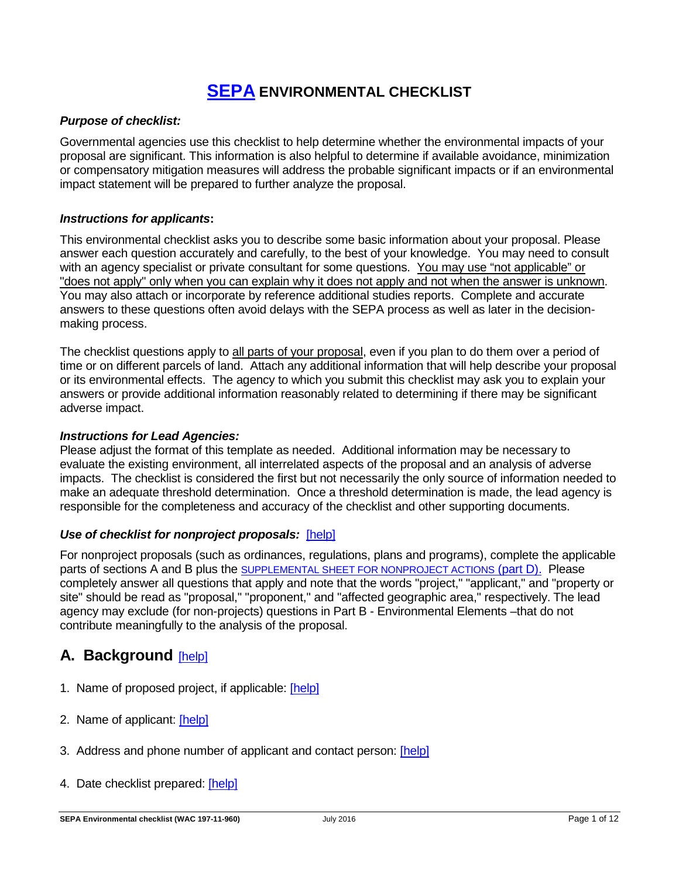# **[SEPA](http://www.ecy.wa.gov/programs/sea/sepa/e-review.html) ENVIRONMENTAL CHECKLIST**

### *Purpose of checklist:*

Governmental agencies use this checklist to help determine whether the environmental impacts of your proposal are significant. This information is also helpful to determine if available avoidance, minimization or compensatory mitigation measures will address the probable significant impacts or if an environmental impact statement will be prepared to further analyze the proposal.

#### *Instructions for applicants***:**

This environmental checklist asks you to describe some basic information about your proposal. Please answer each question accurately and carefully, to the best of your knowledge. You may need to consult with an agency specialist or private consultant for some questions. You may use "not applicable" or "does not apply" only when you can explain why it does not apply and not when the answer is unknown. You may also attach or incorporate by reference additional studies reports. Complete and accurate answers to these questions often avoid delays with the SEPA process as well as later in the decisionmaking process.

The checklist questions apply to all parts of your proposal, even if you plan to do them over a period of time or on different parcels of land. Attach any additional information that will help describe your proposal or its environmental effects. The agency to which you submit this checklist may ask you to explain your answers or provide additional information reasonably related to determining if there may be significant adverse impact.

#### *Instructions for Lead Agencies:*

Please adjust the format of this template as needed. Additional information may be necessary to evaluate the existing environment, all interrelated aspects of the proposal and an analysis of adverse impacts. The checklist is considered the first but not necessarily the only source of information needed to make an adequate threshold determination. Once a threshold determination is made, the lead agency is responsible for the completeness and accuracy of the checklist and other supporting documents.

### *Use of checklist for nonproject proposals:* [\[help\]](http://www.ecy.wa.gov/programs/sea/sepa/apguide/EnvChecklistGuidance.html#Nonproject)

For nonproject proposals (such as ordinances, regulations, plans and programs), complete the applicable parts of sections A and B plus the [SUPPLEMENTAL SHEET FOR NONPROJECT ACTIONS](#page-10-0) (part D). Please completely answer all questions that apply and note that the words "project," "applicant," and "property or site" should be read as "proposal," "proponent," and "affected geographic area," respectively. The lead agency may exclude (for non-projects) questions in Part B - Environmental Elements –that do not contribute meaningfully to the analysis of the proposal.

## **A. Background** [\[help\]](http://www.ecy.wa.gov/programs/sea/sepa/ChecklistGuidance.html#Background)

- 1. Name of proposed project, if applicable: [\[help\]](http://www.ecy.wa.gov/programs/sea/sepa/ChecklistGuidance.html#Background)
- 2. Name of applicant: [\[help\]](http://www.ecy.wa.gov/programs/sea/sepa/ChecklistGuidance.html#Background)
- 3. Address and phone number of applicant and contact person: [\[help\]](http://www.ecy.wa.gov/programs/sea/sepa/ChecklistGuidance.html#Background)
- 4. Date checklist prepared: [\[help\]](http://www.ecy.wa.gov/programs/sea/sepa/ChecklistGuidance.html#Background)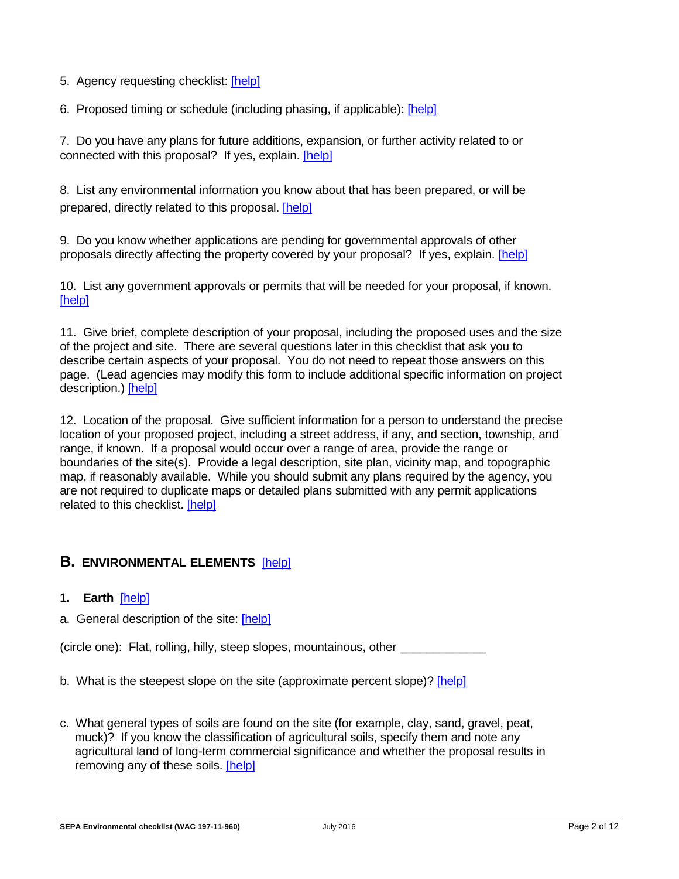5. Agency requesting checklist: [\[help\]](http://www.ecy.wa.gov/programs/sea/sepa/ChecklistGuidance.html#Background)

6. Proposed timing or schedule (including phasing, if applicable): [\[help\]](http://www.ecy.wa.gov/programs/sea/sepa/ChecklistGuidance.html#Background)

7. Do you have any plans for future additions, expansion, or further activity related to or connected with this proposal? If yes, explain. [\[help\]](http://www.ecy.wa.gov/programs/sea/sepa/ChecklistGuidance.html#Background)

8. List any environmental information you know about that has been prepared, or will be prepared, directly related to this proposal. [\[help\]](http://www.ecy.wa.gov/programs/sea/sepa/ChecklistGuidance.html#Background)

9. Do you know whether applications are pending for governmental approvals of other proposals directly affecting the property covered by your proposal? If yes, explain. [\[help\]](http://www.ecy.wa.gov/programs/sea/sepa/ChecklistGuidance.html#Background)

10. List any government approvals or permits that will be needed for your proposal, if known. [\[help\]](http://www.ecy.wa.gov/programs/sea/sepa/ChecklistGuidance.html#Background)

11. Give brief, complete description of your proposal, including the proposed uses and the size of the project and site. There are several questions later in this checklist that ask you to describe certain aspects of your proposal. You do not need to repeat those answers on this page. (Lead agencies may modify this form to include additional specific information on project description.) [\[help\]](http://www.ecy.wa.gov/programs/sea/sepa/ChecklistGuidance.html#Background)

12. Location of the proposal. Give sufficient information for a person to understand the precise location of your proposed project, including a street address, if any, and section, township, and range, if known. If a proposal would occur over a range of area, provide the range or boundaries of the site(s). Provide a legal description, site plan, vicinity map, and topographic map, if reasonably available. While you should submit any plans required by the agency, you are not required to duplicate maps or detailed plans submitted with any permit applications related to this checklist. [\[help\]](http://www.ecy.wa.gov/programs/sea/sepa/ChecklistGuidance.html#Background)

## **B. ENVIRONMENTAL ELEMENTS** [\[help\]](http://www.ecy.wa.gov/programs/sea/sepa/ChecklistGuidance.html#EnvironmentalElements)

- **1. Earth** [\[help\]](http://www.ecy.wa.gov/programs/sea/sepa/ChecklistGuidance.html#Earth)
- a. General description of the site: [\[help\]](http://www.ecy.wa.gov/programs/sea/sepa/ChecklistGuidance.html#Earth)

(circle one): Flat, rolling, hilly, steep slopes, mountainous, other

- b. What is the steepest slope on the site (approximate percent slope)? [\[help\]](http://www.ecy.wa.gov/programs/sea/sepa/ChecklistGuidance.html#Earth)
- c. What general types of soils are found on the site (for example, clay, sand, gravel, peat, muck)? If you know the classification of agricultural soils, specify them and note any agricultural land of long-term commercial significance and whether the proposal results in removing any of these soils. [\[help\]](http://www.ecy.wa.gov/programs/sea/sepa/ChecklistGuidance.html#Earth)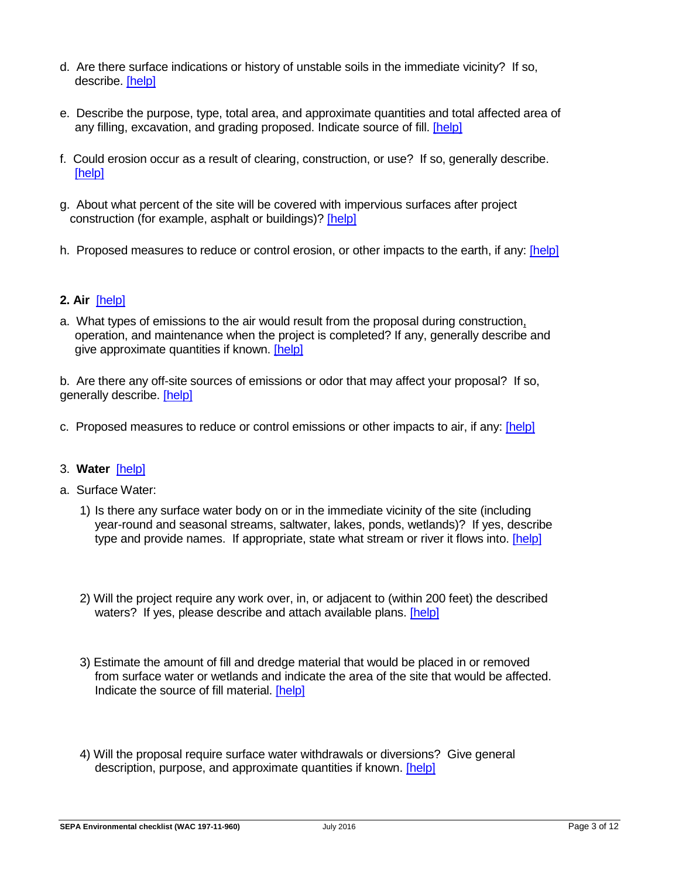- d. Are there surface indications or history of unstable soils in the immediate vicinity? If so, describe. [\[help\]](http://www.ecy.wa.gov/programs/sea/sepa/ChecklistGuidance.html#Earth)
- e. Describe the purpose, type, total area, and approximate quantities and total affected area of any filling, excavation, and grading proposed. Indicate source of fill. [\[help\]](http://www.ecy.wa.gov/programs/sea/sepa/ChecklistGuidance.html#Earth)
- f. Could erosion occur as a result of clearing, construction, or use? If so, generally describe. [\[help\]](http://www.ecy.wa.gov/programs/sea/sepa/ChecklistGuidance.html#Earth)
- g. About what percent of the site will be covered with impervious surfaces after project construction (for example, asphalt or buildings)? [\[help\]](http://www.ecy.wa.gov/programs/sea/sepa/ChecklistGuidance.html#Earth)
- h. Proposed measures to reduce or control erosion, or other impacts to the earth, if any: [\[help\]](http://www.ecy.wa.gov/programs/sea/sepa/ChecklistGuidance.html#Earth)

## **2. Air** [\[help\]](http://www.ecy.wa.gov/programs/sea/sepa/ChecklistGuidance.html#Air)

a. What types of emissions to the air would result from the proposal during construction, operation, and maintenance when the project is completed? If any, generally describe and give approximate quantities if known. [\[help\]](http://www.ecy.wa.gov/programs/sea/sepa/ChecklistGuidance.html#Air)

b. Are there any off-site sources of emissions or odor that may affect your proposal? If so, generally describe. [\[help\]](http://www.ecy.wa.gov/programs/sea/sepa/ChecklistGuidance.html#Air)

c. Proposed measures to reduce or control emissions or other impacts to air, if any: [\[help\]](http://www.ecy.wa.gov/programs/sea/sepa/ChecklistGuidance.html#Air)

### 3. **Water** [\[help\]](http://www.ecy.wa.gov/programs/sea/sepa/ChecklistGuidance.html#Water)

### a. Surface Water:

- 1) Is there any surface water body on or in the immediate vicinity of the site (including year-round and seasonal streams, saltwater, lakes, ponds, wetlands)? If yes, describe type and provide names. If appropriate, state what stream or river it flows into. [\[help\]](http://www.ecy.wa.gov/programs/sea/sepa/ChecklistGuidance.html#Water)
- 2) Will the project require any work over, in, or adjacent to (within 200 feet) the described waters? If yes, please describe and attach available plans. [\[help\]](http://www.ecy.wa.gov/programs/sea/sepa/ChecklistGuidance.html#Water)
- 3) Estimate the amount of fill and dredge material that would be placed in or removed from surface water or wetlands and indicate the area of the site that would be affected. Indicate the source of fill material. [\[help\]](http://www.ecy.wa.gov/programs/sea/sepa/ChecklistGuidance.html#Water)
- 4) Will the proposal require surface water withdrawals or diversions? Give general description, purpose, and approximate quantities if known. [\[help\]](http://www.ecy.wa.gov/programs/sea/sepa/ChecklistGuidance.html#Water)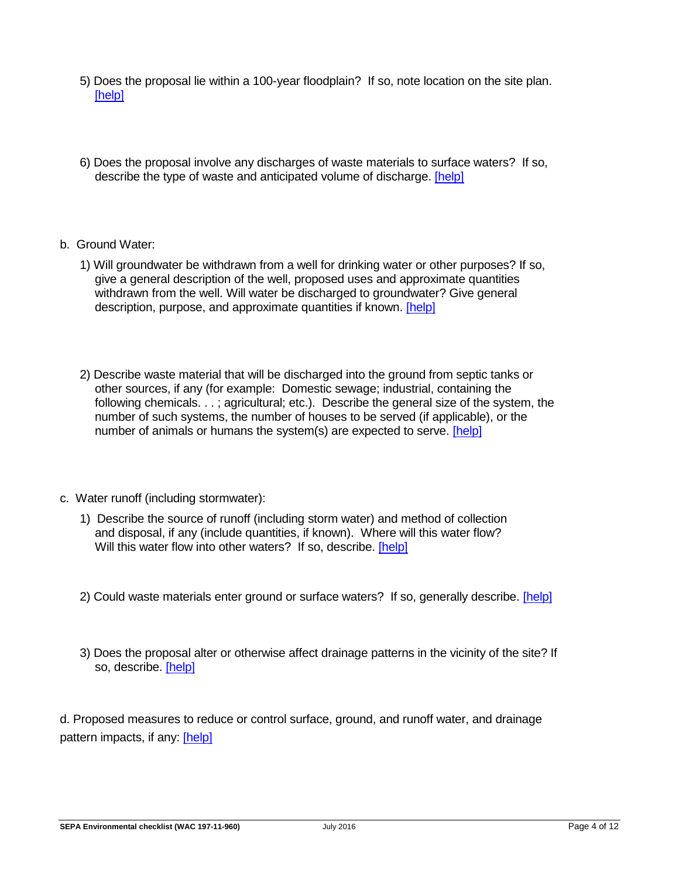- 5) Does the proposal lie within a 100-year floodplain? If so, note location on the site plan. [\[help\]](http://www.ecy.wa.gov/programs/sea/sepa/ChecklistGuidance.html#Water)
- 6) Does the proposal involve any discharges of waste materials to surface waters? If so, describe the type of waste and anticipated volume of discharge. [\[help\]](http://www.ecy.wa.gov/programs/sea/sepa/ChecklistGuidance.html#Water)
- b. Ground Water:
	- 1) Will groundwater be withdrawn from a well for drinking water or other purposes? If so, give a general description of the well, proposed uses and approximate quantities withdrawn from the well. Will water be discharged to groundwater? Give general description, purpose, and approximate quantities if known. [\[help\]](http://www.ecy.wa.gov/programs/sea/sepa/ChecklistGuidance.html#Water)
	- 2) Describe waste material that will be discharged into the ground from septic tanks or other sources, if any (for example: Domestic sewage; industrial, containing the following chemicals. . .; agricultural; etc.). Describe the general size of the system, the number of such systems, the number of houses to be served (if applicable), or the number of animals or humans the system(s) are expected to serve. [\[help\]](http://www.ecy.wa.gov/programs/sea/sepa/ChecklistGuidance.html#Water)
- c. Water runoff (including stormwater):
	- 1) Describe the source of runoff (including storm water) and method of collection and disposal, if any (include quantities, if known). Where will this water flow? Will this water flow into other waters? If so, describe. [\[help\]](http://www.ecy.wa.gov/programs/sea/sepa/ChecklistGuidance.html#Water)
	- 2) Could waste materials enter ground or surface waters? If so, generally describe. [\[help\]](http://www.ecy.wa.gov/programs/sea/sepa/ChecklistGuidance.html#Water)
	- 3) Does the proposal alter or otherwise affect drainage patterns in the vicinity of the site? If so, describe. [\[help\]](http://www.ecy.wa.gov/programs/sea/sepa/ChecklistGuidance.html#Water)

d. Proposed measures to reduce or control surface, ground, and runoff water, and drainage pattern impacts, if any: [\[help\]](http://www.ecy.wa.gov/programs/sea/sepa/ChecklistGuidance.html#Water)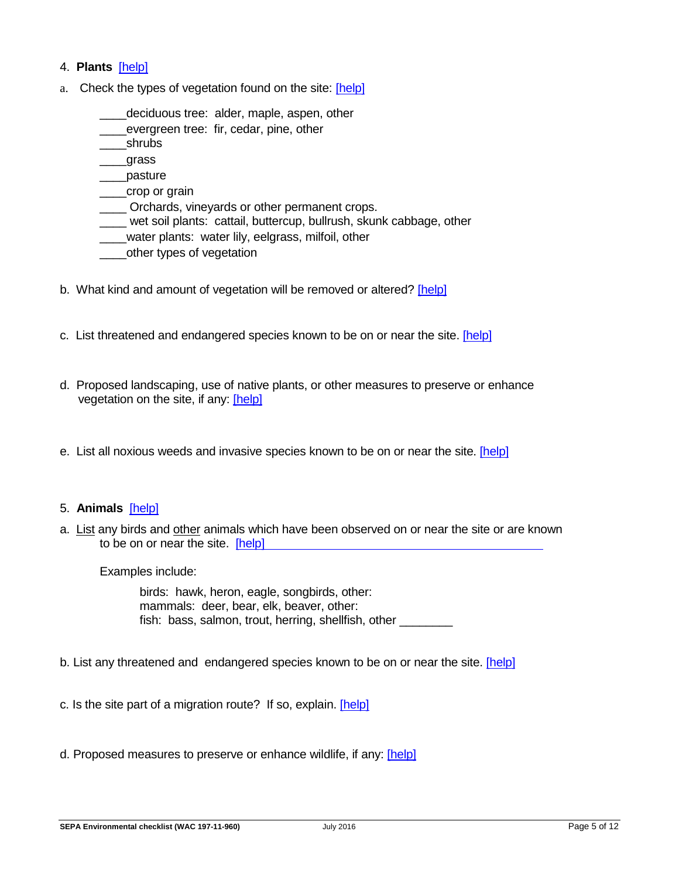#### 4. **Plants** [\[help\]](http://www.ecy.wa.gov/programs/sea/sepa/ChecklistGuidance.html#Plants)

- a. Check the types of vegetation found on the site: [\[help\]](http://www.ecy.wa.gov/programs/sea/sepa/ChecklistGuidance.html#Plants)
	- deciduous tree: alder, maple, aspen, other
	- evergreen tree: fir, cedar, pine, other
	- \_\_\_\_shrubs
	- \_\_\_\_grass
	- \_\_\_\_pasture
	- \_\_\_\_crop or grain
	- \_\_\_\_ Orchards, vineyards or other permanent crops.
	- \_\_\_\_ wet soil plants: cattail, buttercup, bullrush, skunk cabbage, other
	- \_\_\_\_water plants: water lily, eelgrass, milfoil, other
	- \_\_\_\_other types of vegetation
- b. What kind and amount of vegetation will be removed or altered? [\[help\]](http://www.ecy.wa.gov/programs/sea/sepa/ChecklistGuidance.html#Plants)
- c. List threatened and endangered species known to be on or near the site. [\[help\]](http://www.ecy.wa.gov/programs/sea/sepa/ChecklistGuidance.html#Plants)
- d. Proposed landscaping, use of native plants, or other measures to preserve or enhance vegetation on the site, if any: [\[help\]](http://www.ecy.wa.gov/programs/sea/sepa/ChecklistGuidance.html#Plants)
- e. List all noxious weeds and invasive species known to be on or near the site. [\[help\]](http://www.ecy.wa.gov/programs/sea/sepa/ChecklistGuidance.html#Plants)

#### 5. **Animals** [\[help\]](http://www.ecy.wa.gov/programs/sea/sepa/apguide/EnvChecklistGuidance.html#Animals)

a. List any birds and other animals which have been observed on or near the site or are known to be on or near the site. [help]

Examples include:

birds: hawk, heron, eagle, songbirds, other: mammals: deer, bear, elk, beaver, other: fish: bass, salmon, trout, herring, shellfish, other

b. List any threatened and endangered species known to be on or near the site. [\[help\]](http://www.ecy.wa.gov/programs/sea/sepa/ChecklistGuidance.html#Animals)

c. Is the site part of a migration route? If so, explain. [\[help\]](http://www.ecy.wa.gov/programs/sea/sepa/ChecklistGuidance.html#Animals)

d. Proposed measures to preserve or enhance wildlife, if any: [\[help\]](http://www.ecy.wa.gov/programs/sea/sepa/ChecklistGuidance.html#Animals)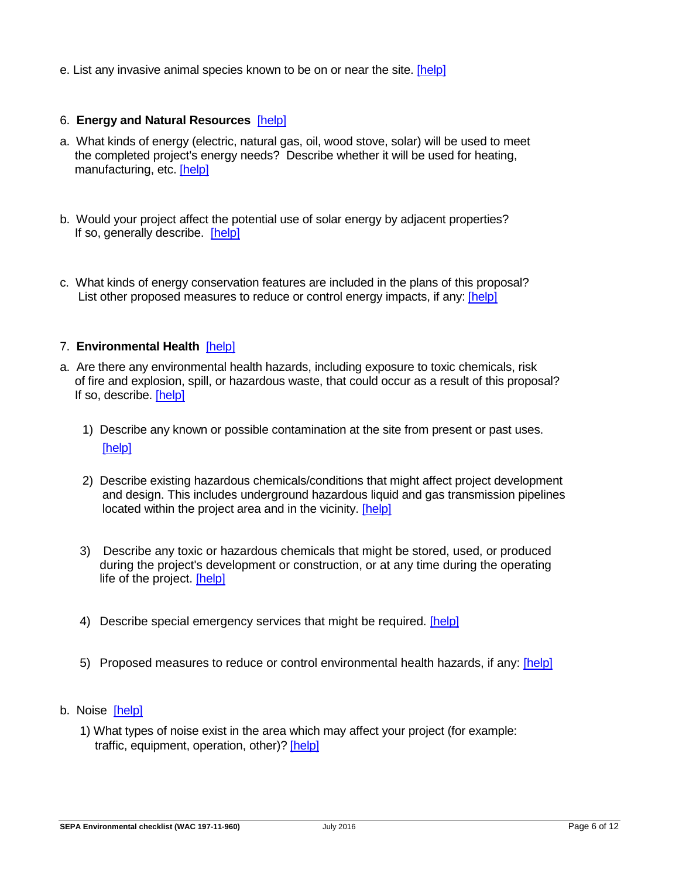e. List any invasive animal species known to be on or near the site. [\[help\]](http://www.ecy.wa.gov/programs/sea/sepa/ChecklistGuidance.html#Animals)

### 6. **Energy and Natural Resources** [\[help\]](http://www.ecy.wa.gov/programs/sea/sepa/ChecklistGuidance.html#EnergyNaturalResources)

- a. What kinds of energy (electric, natural gas, oil, wood stove, solar) will be used to meet the completed project's energy needs? Describe whether it will be used for heating, manufacturing, etc. [\[help\]](http://www.ecy.wa.gov/programs/sea/sepa/ChecklistGuidance.html#EnergyNaturalResources)
- b. Would your project affect the potential use of solar energy by adjacent properties? If so, generally describe. [\[help\]](http://www.ecy.wa.gov/programs/sea/sepa/ChecklistGuidance.html#EnergyNaturalResources)
- c. What kinds of energy conservation features are included in the plans of this proposal? List other proposed measures to reduce or control energy impacts, if any: [\[help\]](http://www.ecy.wa.gov/programs/sea/sepa/ChecklistGuidance.html#EnergyNaturalResources)

### 7. **Environmental Health** [\[help\]](http://www.ecy.wa.gov/programs/sea/sepa/ChecklistGuidance.html#EnvironmentalHealth)

- a. Are there any environmental health hazards, including exposure to toxic chemicals, risk of fire and explosion, spill, or hazardous waste, that could occur as a result of this proposal? If so, describe. [\[help\]](http://www.ecy.wa.gov/programs/sea/sepa/ChecklistGuidance.html#EnvironmentalHealth)
	- 1) Describe any known or possible contamination at the site from present or past uses. [\[help\]](http://www.ecy.wa.gov/programs/sea/sepa/ChecklistGuidance.html#EnvironmentalHealth)
	- 2) Describe existing hazardous chemicals/conditions that might affect project development and design. This includes underground hazardous liquid and gas transmission pipelines located within the project area and in the vicinity. [\[help\]](http://www.ecy.wa.gov/programs/sea/sepa/ChecklistGuidance.html#EnvironmentalHealth)
	- 3) Describe any toxic or hazardous chemicals that might be stored, used, or produced during the project's development or construction, or at any time during the operating life of the project. [\[help\]](http://www.ecy.wa.gov/programs/sea/sepa/ChecklistGuidance.html#EnvironmentalHealth)
	- 4) Describe special emergency services that might be required. [\[help\]](http://www.ecy.wa.gov/programs/sea/sepa/ChecklistGuidance.html#EnvironmentalHealth)
	- 5) Proposed measures to reduce or control environmental health hazards, if any: [\[help\]](http://www.ecy.wa.gov/programs/sea/sepa/ChecklistGuidance.html#EnvironmentalHealth)
- b.Noise [\[help\]](http://www.ecy.wa.gov/programs/sea/sepa/ChecklistGuidance.html#EnvironmentalHealth)
	- 1) What types of noise exist in the area which may affect your project (for example: traffic, equipment, operation, other)? [\[help\]](http://www.ecy.wa.gov/programs/sea/sepa/ChecklistGuidance.html#EnvironmentalHealth)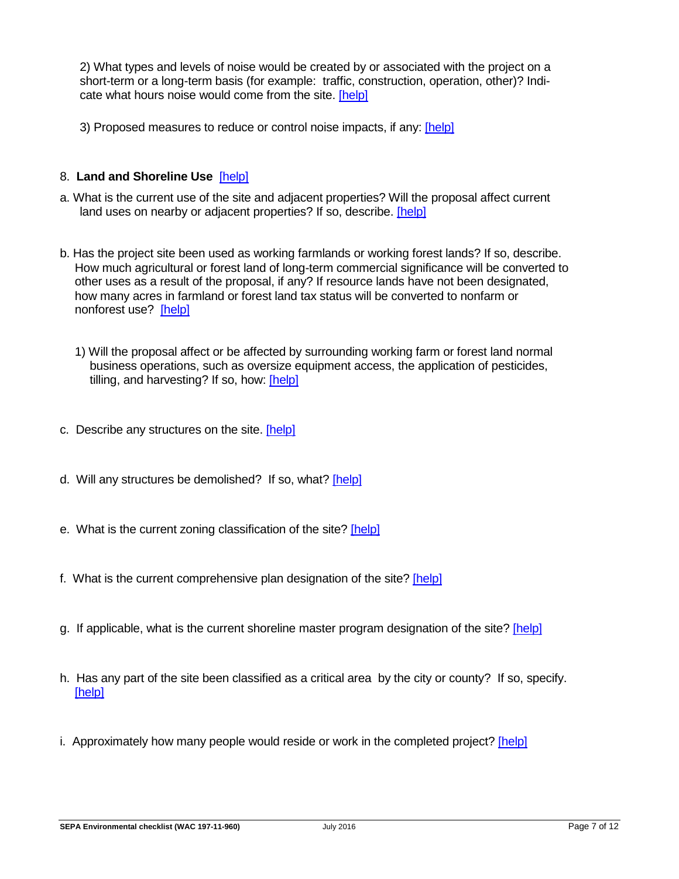2) What types and levels of noise would be created by or associated with the project on a short-term or a long-term basis (for example: traffic, construction, operation, other)? Indicate what hours noise would come from the site. [\[help\]](http://www.ecy.wa.gov/programs/sea/sepa/ChecklistGuidance.html#EnvironmentalHealth)

3) Proposed measures to reduce or control noise impacts, if any: [\[help\]](http://www.ecy.wa.gov/programs/sea/sepa/ChecklistGuidance.html#EnvironmentalHealth)

#### 8. **Land and Shoreline Use** [\[help\]](http://www.ecy.wa.gov/programs/sea/sepa/ChecklistGuidance.html#LandShorelineUse)

- a. What is the current use of the site and adjacent properties? Will the proposal affect current land uses on nearby or adjacent properties? If so, describe. [\[help\]](http://www.ecy.wa.gov/programs/sea/sepa/ChecklistGuidance.html#LandShorelineUse)
- b. Has the project site been used as working farmlands or working forest lands? If so, describe. How much agricultural or forest land of long-term commercial significance will be converted to other uses as a result of the proposal, if any? If resource lands have not been designated, how many acres in farmland or forest land tax status will be converted to nonfarm or nonforest use? [\[help\]](http://www.ecy.wa.gov/programs/sea/sepa/ChecklistGuidance.html#LandShorelineUse)
	- 1) Will the proposal affect or be affected by surrounding working farm or forest land normal business operations, such as oversize equipment access, the application of pesticides, tilling, and harvesting? If so, how: [\[help\]](http://www.ecy.wa.gov/programs/sea/sepa/ChecklistGuidance.html#LandShorelineUse)
- c. Describe any structures on the site. [\[help\]](http://www.ecy.wa.gov/programs/sea/sepa/ChecklistGuidance.html#LandShorelineUse)
- d. Will any structures be demolished? If so, what? [\[help\]](http://www.ecy.wa.gov/programs/sea/sepa/ChecklistGuidance.html#LandShorelineUse)
- e. What is the current zoning classification of the site? [\[help\]](http://www.ecy.wa.gov/programs/sea/sepa/ChecklistGuidance.html#LandShorelineUse)
- f. What is the current comprehensive plan designation of the site? [\[help\]](http://www.ecy.wa.gov/programs/sea/sepa/ChecklistGuidance.html#LandShorelineUse)
- g. If applicable, what is the current shoreline master program designation of the site? [\[help\]](http://www.ecy.wa.gov/programs/sea/sepa/ChecklistGuidance.html#LandShorelineUse)
- h. Has any part of the site been classified as a critical area by the city or county? If so, specify. [\[help\]](http://www.ecy.wa.gov/programs/sea/sepa/ChecklistGuidance.html#LandShorelineUse)
- i. Approximately how many people would reside or work in the completed project? [\[help\]](http://www.ecy.wa.gov/programs/sea/sepa/ChecklistGuidance.html#LandShorelineUse)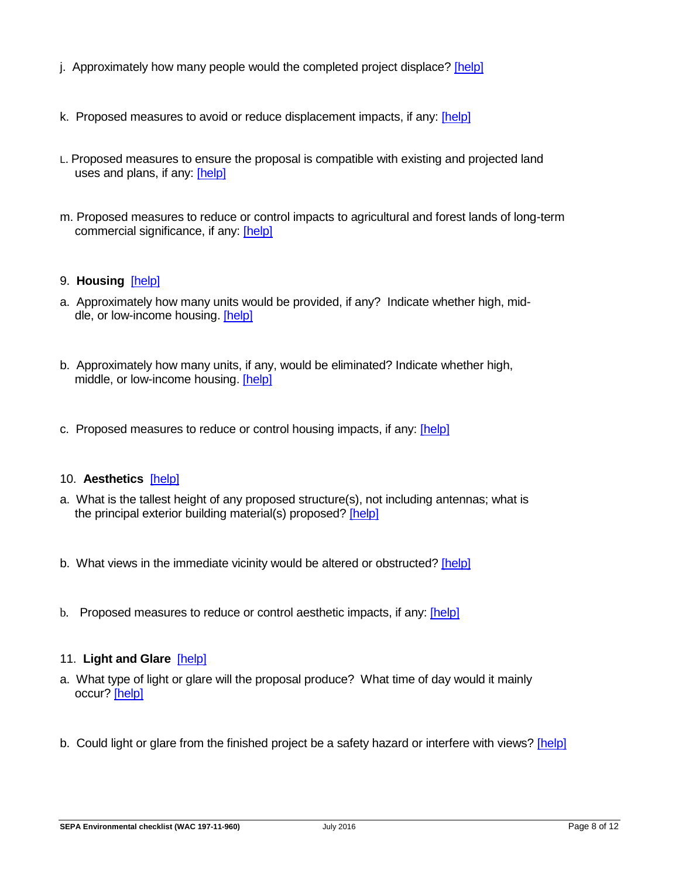- j. Approximately how many people would the completed project displace? [\[help\]](http://www.ecy.wa.gov/programs/sea/sepa/ChecklistGuidance.html#LandShorelineUse)
- k. Proposed measures to avoid or reduce displacement impacts, if any: [\[help\]](http://www.ecy.wa.gov/programs/sea/sepa/ChecklistGuidance.html#LandShorelineUse)
- L. Proposed measures to ensure the proposal is compatible with existing and projected land uses and plans, if any: [\[help\]](http://www.ecy.wa.gov/programs/sea/sepa/ChecklistGuidance.html#LandShorelineUse)
- m. Proposed measures to reduce or control impacts to agricultural and forest lands of long-term commercial significance, if any: [\[help\]](http://www.ecy.wa.gov/programs/sea/sepa/ChecklistGuidance.html#LandShorelineUse)
- 9. **Housing** [\[help\]](http://www.ecy.wa.gov/programs/sea/sepa/ChecklistGuidance.html#Housing)
- a. Approximately how many units would be provided, if any? Indicate whether high, middle, or low-income housing. [\[help\]](http://www.ecy.wa.gov/programs/sea/sepa/ChecklistGuidance.html#Housing)
- b. Approximately how many units, if any, would be eliminated? Indicate whether high, middle, or low-income housing. [\[help\]](http://www.ecy.wa.gov/programs/sea/sepa/ChecklistGuidance.html#Housing)
- c. Proposed measures to reduce or control housing impacts, if any: [\[help\]](http://www.ecy.wa.gov/programs/sea/sepa/ChecklistGuidance.html#Housing)

### 10. **Aesthetics** [\[help\]](http://www.ecy.wa.gov/programs/sea/sepa/ChecklistGuidance.html#Aesthetics)

- a. What is the tallest height of any proposed structure(s), not including antennas; what is the principal exterior building material(s) proposed? [\[help\]](http://www.ecy.wa.gov/programs/sea/sepa/ChecklistGuidance.html#Aesthetics)
- b. What views in the immediate vicinity would be altered or obstructed? [\[help\]](http://www.ecy.wa.gov/programs/sea/sepa/ChecklistGuidance.html#Aesthetics)
- b. Proposed measures to reduce or control aesthetic impacts, if any: [\[help\]](http://www.ecy.wa.gov/programs/sea/sepa/ChecklistGuidance.html#Aesthetics)

#### 11. **Light and Glare** [\[help\]](http://www.ecy.wa.gov/programs/sea/sepa/ChecklistGuidance.html#LightGlare)

- a. What type of light or glare will the proposal produce? What time of day would it mainly occur? [\[help\]](http://www.ecy.wa.gov/programs/sea/sepa/ChecklistGuidance.html#LightGlare)
- b. Could light or glare from the finished project be a safety hazard or interfere with views? [\[help\]](http://www.ecy.wa.gov/programs/sea/sepa/ChecklistGuidance.html#LightGlare)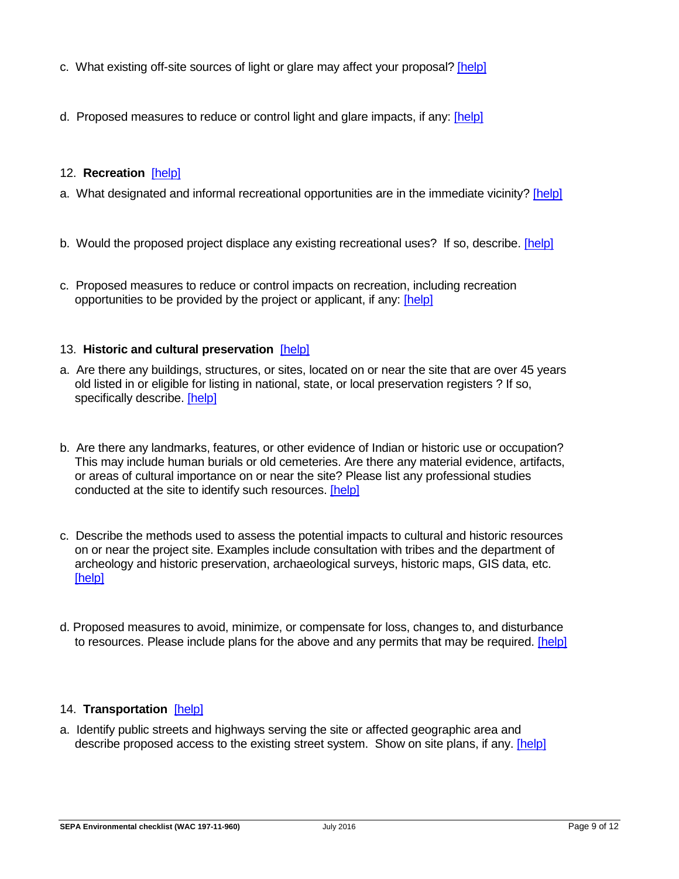- c. What existing off-site sources of light or glare may affect your proposal? [\[help\]](http://www.ecy.wa.gov/programs/sea/sepa/ChecklistGuidance.html#LightGlare)
- d. Proposed measures to reduce or control light and glare impacts, if any: [\[help\]](http://www.ecy.wa.gov/programs/sea/sepa/ChecklistGuidance.html#LightGlare)

### 12. **Recreation** [\[help\]](http://www.ecy.wa.gov/programs/sea/sepa/ChecklistGuidance.html#Recreation)

- a. What designated and informal recreational opportunities are in the immediate vicinity? [\[help\]](http://www.ecy.wa.gov/programs/sea/sepa/ChecklistGuidance.html#Recreation)
- b. Would the proposed project displace any existing recreational uses? If so, describe. [\[help\]](http://www.ecy.wa.gov/programs/sea/sepa/ChecklistGuidance.html#Recreation)
- c. Proposed measures to reduce or control impacts on recreation, including recreation opportunities to be provided by the project or applicant, if any: [\[help\]](http://www.ecy.wa.gov/programs/sea/sepa/ChecklistGuidance.html#Recreation)

#### 13. **Historic and cultural preservation** [\[help\]](http://www.ecy.wa.gov/programs/sea/sepa/ChecklistGuidance.html#HistoricCulturalPreservation)

- a. Are there any buildings, structures, or sites, located on or near the site that are over 45 years old listed in or eligible for listing in national, state, or local preservation registers ? If so, specifically describe. [\[help\]](http://www.ecy.wa.gov/programs/sea/sepa/ChecklistGuidance.html#HistoricCulturalPreservation)
- b. Are there any landmarks, features, or other evidence of Indian or historic use or occupation? This may include human burials or old cemeteries. Are there any material evidence, artifacts, or areas of cultural importance on or near the site? Please list any professional studies conducted at the site to identify such resources. [\[help\]](http://www.ecy.wa.gov/programs/sea/sepa/ChecklistGuidance.html#HistoricCulturalPreservation)
- c. Describe the methods used to assess the potential impacts to cultural and historic resources on or near the project site. Examples include consultation with tribes and the department of archeology and historic preservation, archaeological surveys, historic maps, GIS data, etc. [\[help\]](http://www.ecy.wa.gov/programs/sea/sepa/ChecklistGuidance.html#HistoricCulturalPreservation)
- d. Proposed measures to avoid, minimize, or compensate for loss, changes to, and disturbance to resources. Please include plans for the above and any permits that may be required. [\[help\]](http://www.ecy.wa.gov/programs/sea/sepa/ChecklistGuidance.html#HistoricCulturalPreservation)

#### 14. **Transportation** [\[help\]](http://www.ecy.wa.gov/programs/sea/sepa/ChecklistGuidance.html#Transportation)

a. Identify public streets and highways serving the site or affected geographic area and describe proposed access to the existing street system. Show on site plans, if any. [\[help\]](http://www.ecy.wa.gov/programs/sea/sepa/ChecklistGuidance.html#Transportation)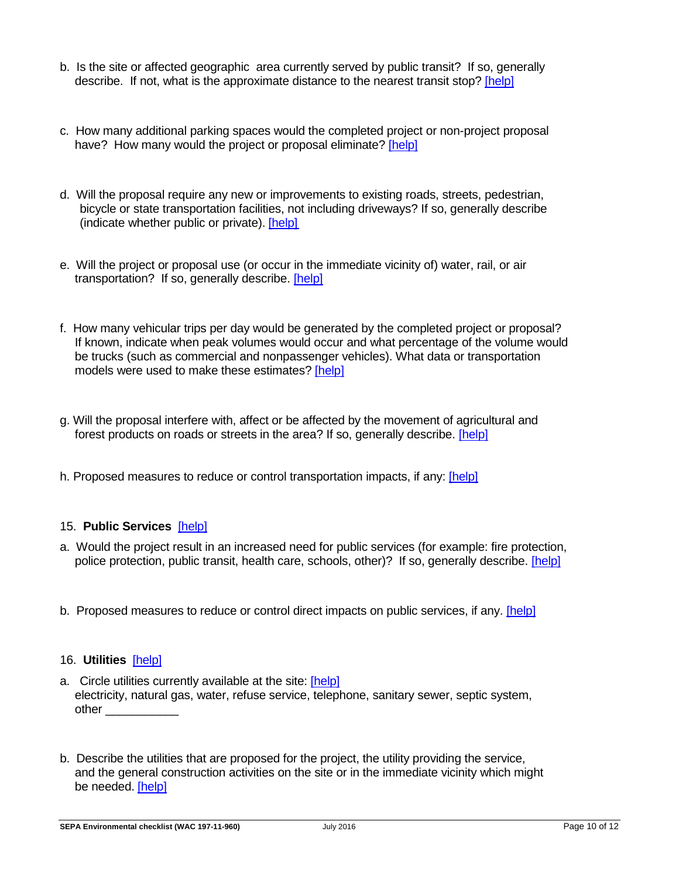- b. Is the site or affected geographic area currently served by public transit? If so, generally describe. If not, what is the approximate distance to the nearest transit stop? [\[help\]](http://www.ecy.wa.gov/programs/sea/sepa/ChecklistGuidance.html#Transportation)
- c. How many additional parking spaces would the completed project or non-project proposal have? How many would the project or proposal eliminate? [\[help\]](http://www.ecy.wa.gov/programs/sea/sepa/ChecklistGuidance.html#Transportation)
- d. Will the proposal require any new or improvements to existing roads, streets, pedestrian, bicycle or state transportation facilities, not including driveways? If so, generally describe (indicate whether public or private). [\[help\]](http://www.ecy.wa.gov/programs/sea/sepa/ChecklistGuidance.html#Transportation)
- e. Will the project or proposal use (or occur in the immediate vicinity of) water, rail, or air transportation? If so, generally describe. [\[help\]](http://www.ecy.wa.gov/programs/sea/sepa/ChecklistGuidance.html#Transportation)
- f. How many vehicular trips per day would be generated by the completed project or proposal? If known, indicate when peak volumes would occur and what percentage of the volume would be trucks (such as commercial and nonpassenger vehicles). What data or transportation models were used to make these estimates? [\[help\]](http://www.ecy.wa.gov/programs/sea/sepa/ChecklistGuidance.html#Transportation)
- g. Will the proposal interfere with, affect or be affected by the movement of agricultural and forest products on roads or streets in the area? If so, generally describe. [\[help\]](http://www.ecy.wa.gov/programs/sea/sepa/ChecklistGuidance.html#Transportation)
- h. Proposed measures to reduce or control transportation impacts, if any: [\[help\]](http://www.ecy.wa.gov/programs/sea/sepa/ChecklistGuidance.html#Transportation)

### 15. **Public Services** [\[help\]](http://www.ecy.wa.gov/programs/sea/sepa/ChecklistGuidance.html#PublicServices)

- a. Would the project result in an increased need for public services (for example: fire protection, police protection, public transit, health care, schools, other)? If so, generally describe. [\[help\]](http://www.ecy.wa.gov/programs/sea/sepa/ChecklistGuidance.html#PublicServices)
- b. Proposed measures to reduce or control direct impacts on public services, if any. [\[help\]](http://www.ecy.wa.gov/programs/sea/sepa/ChecklistGuidance.html#PublicServices)

#### 16. **Utilities** [\[help\]](http://www.ecy.wa.gov/programs/sea/sepa/ChecklistGuidance.html#Utilities)

- a. Circle utilities currently available at the site: [\[help\]](http://www.ecy.wa.gov/programs/sea/sepa/ChecklistGuidance.html#Utilities) electricity, natural gas, water, refuse service, telephone, sanitary sewer, septic system, other \_\_\_\_\_\_\_\_\_\_\_
- b. Describe the utilities that are proposed for the project, the utility providing the service, and the general construction activities on the site or in the immediate vicinity which might be needed. [\[help\]](http://www.ecy.wa.gov/programs/sea/sepa/ChecklistGuidance.html#Utilities)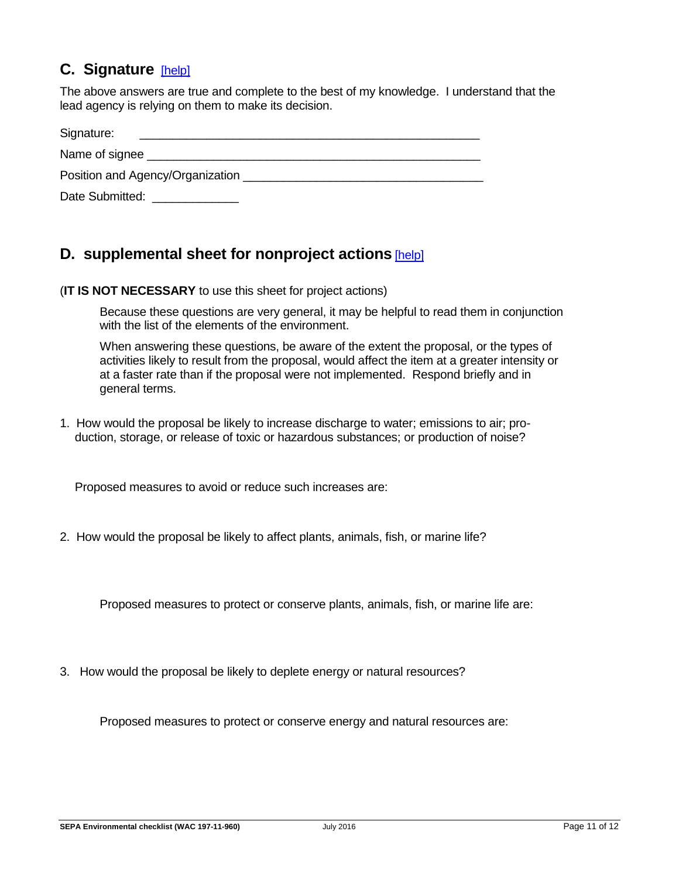## **C. Signature** [\[help\]](http://www.ecy.wa.gov/programs/sea/sepa/ChecklistGuidance.html#Signature)

The above answers are true and complete to the best of my knowledge. I understand that the lead agency is relying on them to make its decision.

| Signature:                                |  |
|-------------------------------------------|--|
| Name of signee                            |  |
| Position and Agency/Organization ________ |  |
| Date Submitted:                           |  |

## <span id="page-10-0"></span>**D. supplemental sheet for nonproject actions** [\[help\]](http://www.ecy.wa.gov/programs/sea/sepa/ChecklistGuidance.html#SupplementalSheet)

(**IT IS NOT NECESSARY** to use this sheet for project actions)

Because these questions are very general, it may be helpful to read them in conjunction with the list of the elements of the environment.

When answering these questions, be aware of the extent the proposal, or the types of activities likely to result from the proposal, would affect the item at a greater intensity or at a faster rate than if the proposal were not implemented. Respond briefly and in general terms.

1. How would the proposal be likely to increase discharge to water; emissions to air; production, storage, or release of toxic or hazardous substances; or production of noise?

Proposed measures to avoid or reduce such increases are:

2. How would the proposal be likely to affect plants, animals, fish, or marine life?

Proposed measures to protect or conserve plants, animals, fish, or marine life are:

3. How would the proposal be likely to deplete energy or natural resources?

Proposed measures to protect or conserve energy and natural resources are: